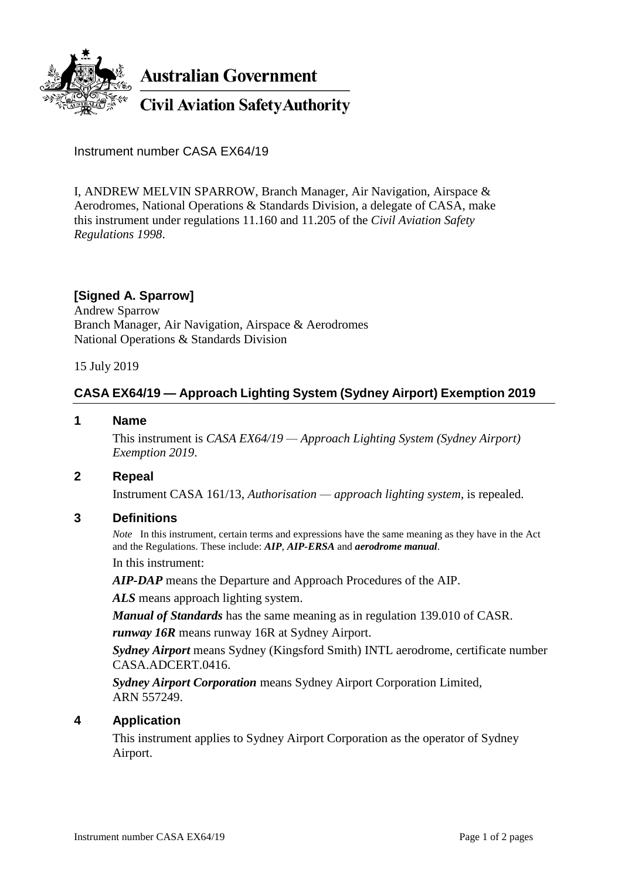

**Australian Government** 

**Civil Aviation Safety Authority** 

Instrument number CASA EX64/19

I, ANDREW MELVIN SPARROW, Branch Manager, Air Navigation, Airspace & Aerodromes, National Operations & Standards Division, a delegate of CASA, make this instrument under regulations 11.160 and 11.205 of the *Civil Aviation Safety Regulations 1998*.

## **[Signed A. Sparrow]**

Andrew Sparrow Branch Manager, Air Navigation, Airspace & Aerodromes National Operations & Standards Division

15 July 2019

# **CASA EX64/19 — Approach Lighting System (Sydney Airport) Exemption 2019**

#### **1 Name**

This instrument is *CASA EX64/19 — Approach Lighting System (Sydney Airport) Exemption 2019*.

### **2 Repeal**

Instrument CASA 161/13, *Authorisation — approach lighting system*, is repealed.

### **3 Definitions**

*Note* In this instrument, certain terms and expressions have the same meaning as they have in the Act and the Regulations. These include: *AIP*, *AIP-ERSA* and *aerodrome manual*. In this instrument:

*AIP-DAP* means the Departure and Approach Procedures of the AIP.

*ALS* means approach lighting system.

*Manual of Standards* has the same meaning as in regulation 139.010 of CASR.

*runway 16R* means runway 16R at Sydney Airport.

*Sydney Airport* means Sydney (Kingsford Smith) INTL aerodrome, certificate number CASA.ADCERT.0416.

*Sydney Airport Corporation* means Sydney Airport Corporation Limited, ARN 557249.

### **4 Application**

This instrument applies to Sydney Airport Corporation as the operator of Sydney Airport.